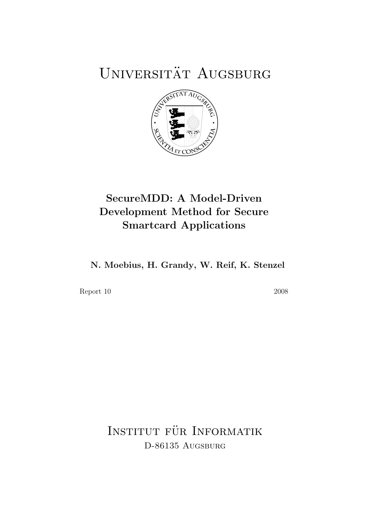# UNIVERSITÄT AUGSBURG



### SecureMDD: A Model-Driven Development Method for Secure Smartcard Applications

N. Moebius, H. Grandy, W. Reif, K. Stenzel

Report 10 2008

INSTITUT FÜR INFORMATIK D-86135 AUGSBURG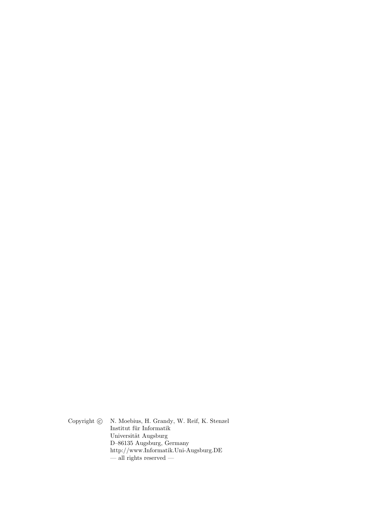Copyright  $\odot$  N. Moebius, H. Grandy, W. Reif, K. Stenzel Institut für Informatik Universität Augsburg D–86135 Augsburg, Germany http://www.Informatik.Uni-Augsburg.DE  $-\frac{1}{2}$  rights reserved  $-$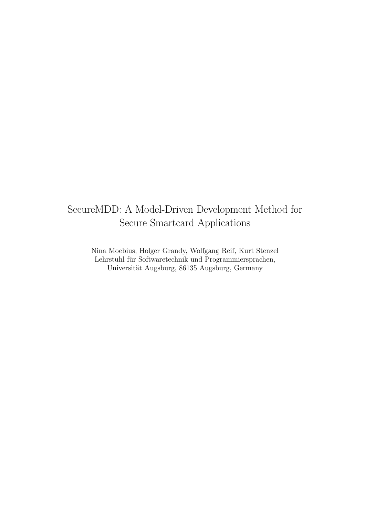### SecureMDD: A Model-Driven Development Method for Secure Smartcard Applications

Nina Moebius, Holger Grandy, Wolfgang Reif, Kurt Stenzel Lehrstuhl für Softwaretechnik und Programmiersprachen, Universität Augsburg, 86135 Augsburg, Germany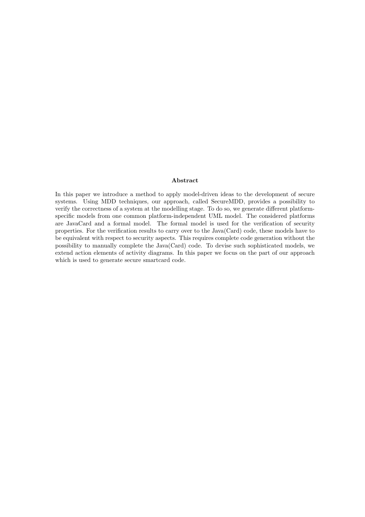#### Abstract

In this paper we introduce a method to apply model-driven ideas to the development of secure systems. Using MDD techniques, our approach, called SecureMDD, provides a possibility to verify the correctness of a system at the modelling stage. To do so, we generate different platformspecific models from one common platform-independent UML model. The considered platforms are JavaCard and a formal model. The formal model is used for the verification of security properties. For the verification results to carry over to the Java(Card) code, these models have to be equivalent with respect to security aspects. This requires complete code generation without the possibility to manually complete the Java(Card) code. To devise such sophisticated models, we extend action elements of activity diagrams. In this paper we focus on the part of our approach which is used to generate secure smartcard code.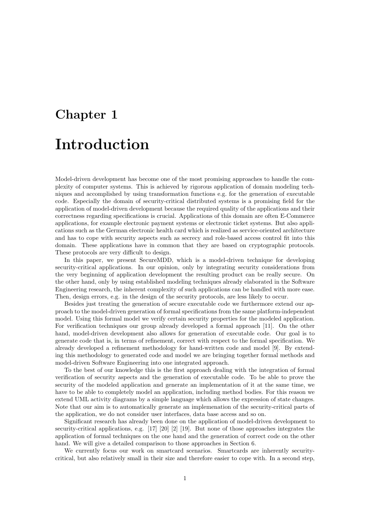# Chapter 1 Introduction

Model-driven development has become one of the most promising approaches to handle the complexity of computer systems. This is achieved by rigorous application of domain modeling techniques and accomplished by using transformation functions e.g. for the generation of executable code. Especially the domain of security-critical distributed systems is a promising field for the application of model-driven development because the required quality of the applications and their correctness regarding specifications is crucial. Applications of this domain are often E-Commerce applications, for example electronic payment systems or electronic ticket systems. But also applications such as the German electronic health card which is realized as service-oriented architecture and has to cope with security aspects such as secrecy and role-based access control fit into this domain. These applications have in common that they are based on cryptographic protocols. These protocols are very difficult to design.

In this paper, we present SecureMDD, which is a model-driven technique for developing security-critical applications. In our opinion, only by integrating security considerations from the very beginning of application development the resulting product can be really secure. On the other hand, only by using established modeling techniques already elaborated in the Software Engineering research, the inherent complexity of such applications can be handled with more ease. Then, design errors, e.g. in the design of the security protocols, are less likely to occur.

Besides just treating the generation of secure executable code we furthermore extend our approach to the model-driven generation of formal specifications from the same platform-independent model. Using this formal model we verify certain security properties for the modeled application. For verification techniques our group already developed a formal approach [11]. On the other hand, model-driven development also allows for generation of executable code. Our goal is to generate code that is, in terms of refinement, correct with respect to the formal specification. We already developed a refinement methodology for hand-written code and model [9]. By extending this methodology to generated code and model we are bringing together formal methods and model-driven Software Engineering into one integrated approach.

To the best of our knowledge this is the first approach dealing with the integration of formal verification of security aspects and the generation of executable code. To be able to prove the security of the modeled application and generate an implementation of it at the same time, we have to be able to completely model an application, including method bodies. For this reason we extend UML activity diagrams by a simple language which allows the expression of state changes. Note that our aim is to automatically generate an implemenation of the security-critical parts of the application, we do not consider user interfaces, data base access and so on.

Significant research has already been done on the application of model-driven development to security-critical applications, e.g. [17] [20] [2] [19]. But none of those approaches integrates the application of formal techniques on the one hand and the generation of correct code on the other hand. We will give a detailed comparison to those approaches in Section 6.

We currently focus our work on smartcard scenarios. Smartcards are inherently securitycritical, but also relatively small in their size and therefore easier to cope with. In a second step,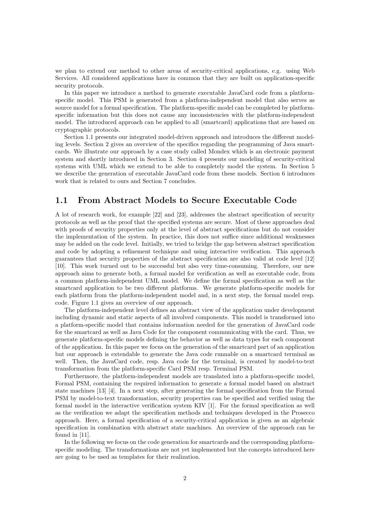we plan to extend our method to other areas of security-critical applications, e.g. using Web Services. All considered applications have in common that they are built on application-specific security protocols.

In this paper we introduce a method to generate executable JavaCard code from a platformspecific model. This PSM is generated from a platform-independent model that also serves as source model for a formal specification. The platform-specific model can be completed by platformspecific information but this does not cause any inconsistencies with the platform-independent model. The introduced approach can be applied to all (smartcard) applications that are based on cryptographic protocols.

Section 1.1 presents our integrated model-driven approach and introduces the different modeling levels. Section 2 gives an overview of the specifics regarding the programming of Java smartcards. We illustrate our approach by a case study called Mondex which is an electronic payment system and shortly introduced in Section 3. Section 4 presents our modeling of security-critical systems with UML which we extend to be able to completely model the system. In Section 5 we describe the generation of executable JavaCard code from these models. Section 6 introduces work that is related to ours and Section 7 concludes.

#### 1.1 From Abstract Models to Secure Executable Code

A lot of research work, for example [22] and [23], addresses the abstract specification of security protocols as well as the proof that the specified systems are secure. Most of these approaches deal with proofs of security properties only at the level of abstract specifications but do not consider the implementation of the system. In practice, this does not suffice since additional weaknesses may be added on the code level. Initially, we tried to bridge the gap between abstract specification and code by adopting a refinement technique and using interactive verification. This approach guarantees that security properties of the abstract specification are also valid at code level [12] [10]. This work turned out to be successful but also very time-consuming. Therefore, our new approach aims to generate both, a formal model for verification as well as executable code, from a common platform-independent UML model. We define the formal specification as well as the smartcard application to be two different platforms. We generate platform-specific models for each platform from the platform-independent model and, in a next step, the formal model resp. code. Figure 1.1 gives an overview of our approach.

The platform-independent level defines an abstract view of the application under development including dynamic and static aspects of all involved components. This model is transformed into a platform-specific model that contains information needed for the generation of JavaCard code for the smartcard as well as Java Code for the component communicating with the card. Thus, we generate platform-specific models defining the behavior as well as data types for each component of the application. In this paper we focus on the generation of the smartcard part of an application but our approach is extendable to generate the Java code runnable on a smartcard terminal as well. Then, the JavaCard code, resp. Java code for the terminal, is created by model-to-text transformation from the platform-specific Card PSM resp. Terminal PSM.

Furthermore, the platform-independent models are translated into a platform-specific model, Formal PSM, containing the required information to generate a formal model based on abstract state machines [13] [4]. In a next step, after generating the formal specification from the Formal PSM by model-to-text transformation, security properties can be specified and verified using the formal model in the interactive verification system KIV [1]. For the formal specification as well as the verification we adapt the specification methods and techniques developed in the Prosecco approach. Here, a formal specification of a security-critical application is given as an algebraic specification in combination with abstract state machines. An overview of the approach can be found in [11].

In the following we focus on the code generation for smartcards and the corresponding platformspecific modeling. The transformations are not yet implemented but the concepts introduced here are going to be used as templates for their realization.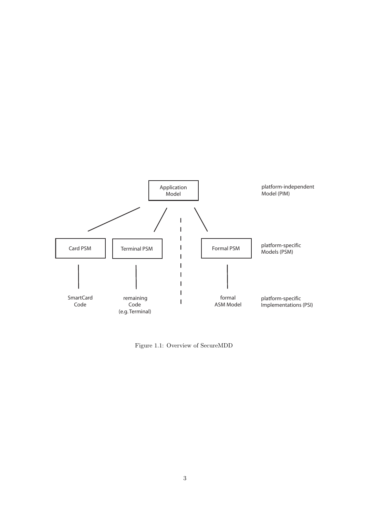

Figure 1.1: Overview of SecureMDD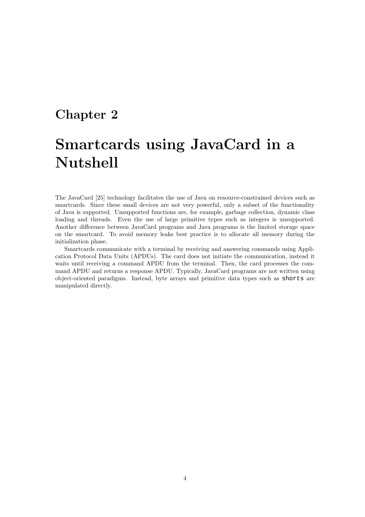### Chapter 2

## Smartcards using JavaCard in a Nutshell

The JavaCard [25] technology facilitates the use of Java on resource-constrained devices such as smartcards. Since these small devices are not very powerful, only a subset of the functionality of Java is supported. Unsupported functions are, for example, garbage collection, dynamic class loading and threads. Even the use of large primitive types such as integers is unsupported. Another difference between JavaCard programs and Java programs is the limited storage space on the smartcard. To avoid memory leaks best practice is to allocate all memory during the initialization phase.

Smartcards communicate with a terminal by receiving and answering commands using Application Protocol Data Units (APDUs). The card does not initiate the communication, instead it waits until receiving a command APDU from the terminal. Then, the card processes the command APDU and returns a response APDU. Typically, JavaCard programs are not written using object-oriented paradigms. Instead, byte arrays and primitive data types such as shorts are manipulated directly.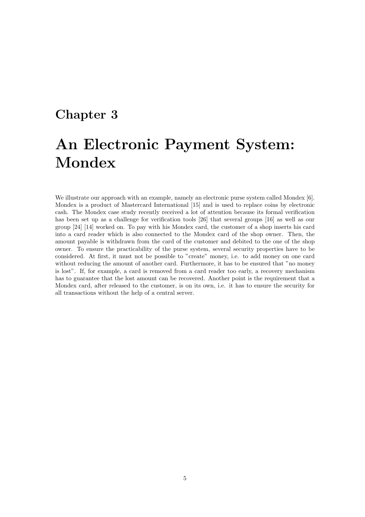#### Chapter 3

## An Electronic Payment System: Mondex

We illustrate our approach with an example, namely an electronic purse system called Mondex [6]. Mondex is a product of Mastercard International [15] and is used to replace coins by electronic cash. The Mondex case study recently received a lot of attention because its formal verification has been set up as a challenge for verification tools [26] that several groups [16] as well as our group [24] [14] worked on. To pay with his Mondex card, the customer of a shop inserts his card into a card reader which is also connected to the Mondex card of the shop owner. Then, the amount payable is withdrawn from the card of the customer and debited to the one of the shop owner. To ensure the practicability of the purse system, several security properties have to be considered. At first, it must not be possible to "create" money, i.e. to add money on one card without reducing the amount of another card. Furthermore, it has to be ensured that "no money is lost". If, for example, a card is removed from a card reader too early, a recovery mechanism has to guarantee that the lost amount can be recovered. Another point is the requirement that a Mondex card, after released to the customer, is on its own, i.e. it has to ensure the security for all transactions without the help of a central server.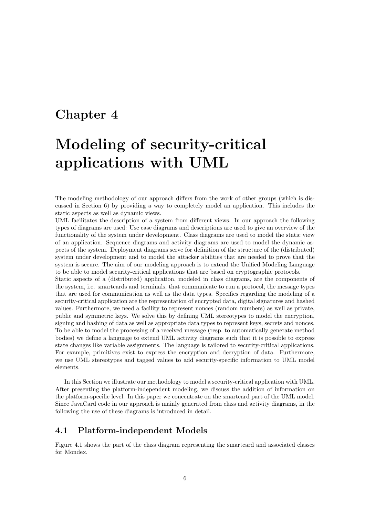### Chapter 4

## Modeling of security-critical applications with UML

The modeling methodology of our approach differs from the work of other groups (which is discussed in Section 6) by providing a way to completely model an application. This includes the static aspects as well as dynamic views.

UML facilitates the description of a system from different views. In our approach the following types of diagrams are used: Use case diagrams and descriptions are used to give an overview of the functionality of the system under development. Class diagrams are used to model the static view of an application. Sequence diagrams and activity diagrams are used to model the dynamic aspects of the system. Deployment diagrams serve for definition of the structure of the (distributed) system under development and to model the attacker abilities that are needed to prove that the system is secure. The aim of our modeling approach is to extend the Unified Modeling Language to be able to model security-critical applications that are based on cryptographic protocols.

Static aspects of a (distributed) application, modeled in class diagrams, are the components of the system, i.e. smartcards and terminals, that communicate to run a protocol, the message types that are used for communication as well as the data types. Specifics regarding the modeling of a security-critical application are the representation of encrypted data, digital signatures and hashed values. Furthermore, we need a facility to represent nonces (random numbers) as well as private, public and symmetric keys. We solve this by defining UML stereotypes to model the encryption, signing and hashing of data as well as appropriate data types to represent keys, secrets and nonces. To be able to model the processing of a received message (resp. to automatically generate method bodies) we define a language to extend UML activity diagrams such that it is possible to express state changes like variable assignments. The language is tailored to security-critical applications. For example, primitives exist to express the encryption and decryption of data. Furthermore, we use UML stereotypes and tagged values to add security-specific information to UML model elements.

In this Section we illustrate our methodology to model a security-critical application with UML. After presenting the platform-independent modeling, we discuss the addition of information on the platform-specific level. In this paper we concentrate on the smartcard part of the UML model. Since JavaCard code in our approach is mainly generated from class and activity diagrams, in the following the use of these diagrams is introduced in detail.

#### 4.1 Platform-independent Models

Figure 4.1 shows the part of the class diagram representing the smartcard and associated classes for Mondex.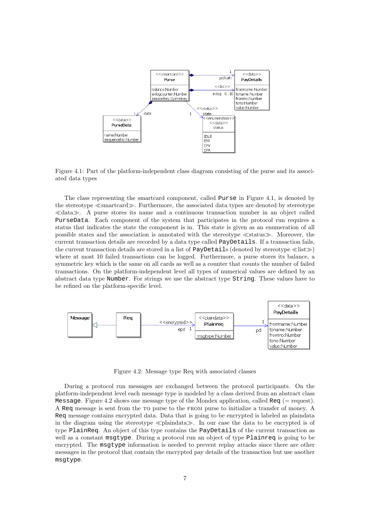

Figure 4.1: Part of the platform-independent class diagram consisting of the purse and its associated data types

The class representing the smartcard component, called Purse in Figure 4.1, is denoted by the stereotype ≪smartcard≫. Furthermore, the associated data types are denoted by stereotype ≪data≫. A purse stores its name and a continuous transaction number in an object called PurseData. Each component of the system that participates in the protocol run requires a status that indicates the state the component is in. This state is given as an enumeration of all possible states and the association is annotated with the stereotype ≪status≫. Moreover, the current transaction details are recorded by a data type called PayDetails. If a transaction fails, the current transaction details are stored in a list of PayDetails (denoted by stereotype ≪list≫) where at most 10 failed transactions can be logged. Furthermore, a purse stores its balance, a symmetric key which is the same on all cards as well as a counter that counts the number of failed transactions. On the platform-independent level all types of numerical values are defined by an abstract data type Number. For strings we use the abstract type String. These values have to be refined on the platform-specific level.



Figure 4.2: Message type Req with associated classes

During a protocol run messages are exchanged between the protocol participants. On the platform-independent level each message type is modeled by a class derived from an abstract class Message. Figure 4.2 shows one message type of the Mondex application, called  $\text{Re}q$  (= request). A Req message is sent from the to purse to the from purse to initialize a transfer of money. A Req message contains encrypted data. Data that is going to be encrypted is labeled as plaindata in the diagram using the stereotype ≪plaindata≫. In our case the data to be encrypted is of type PlainReq. An object of this type contains the PayDetails of the current transaction as well as a constant msgtype. During a protocol run an object of type Plainreq is going to be encrypted. The msgtype information is needed to prevent replay attacks since there are other messages in the protocol that contain the encrypted pay details of the transaction but use another msgtype.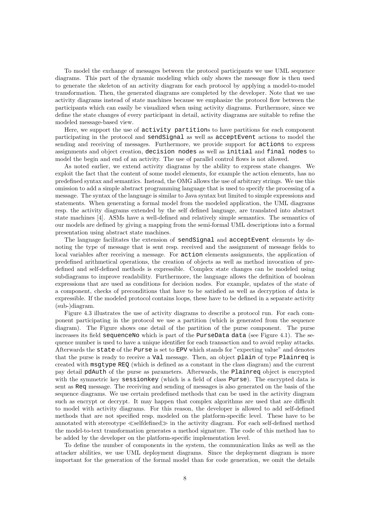To model the exchange of messages between the protocol participants we use UML sequence diagrams. This part of the dynamic modeling which only shows the message flow is then used to generate the skeleton of an activity diagram for each protocol by applying a model-to-model transformation. Then, the generated diagrams are completed by the developer. Note that we use activity diagrams instead of state machines because we emphasize the protocol flow between the participants which can easily be visualized when using activity diagrams. Furthermore, since we define the state changes of every participant in detail, activity diagrams are suitable to refine the modeled message-based view.

Here, we support the use of activity partitions to have partitions for each component participating in the protocol and sendSignal as well as acceptEvent actions to model the sending and receiving of messages. Furthermore, we provide support for actions to express assignments and object creation, decision nodes as well as initial and final nodes to model the begin and end of an activity. The use of parallel control flows is not allowed.

As noted earlier, we extend activity diagrams by the ability to express state changes. We exploit the fact that the content of some model elements, for example the action elements, has no predefined syntax and semantics. Instead, the OMG allows the use of arbitrary strings. We use this omission to add a simple abstract programming language that is used to specify the processing of a message. The syntax of the language is similar to Java syntax but limited to simple expressions and statements. When generating a formal model from the modeled application, the UML diagrams resp. the activity diagrams extended by the self defined language, are translated into abstract state machines [4]. ASMs have a well-defined and relatively simple semantics. The semantics of our models are defined by giving a mapping from the semi-formal UML descriptions into a formal presentation using abstract state machines.

The language facilitates the extension of sendSignal and acceptEvent elements by denoting the type of message that is sent resp. received and the assignment of message fields to local variables after receiving a message. For action elements assignments, the application of predefined arithmetical operations, the creation of objects as well as method invocation of predefined and self-defined methods is expressible. Complex state changes can be modeled using subdiagrams to improve readability. Furthermore, the language allows the definition of boolean expressions that are used as conditions for decision nodes. For example, updates of the state of a component, checks of preconditions that have to be satisfied as well as decryption of data is expressible. If the modeled protocol contains loops, these have to be defined in a separate activity (sub-)diagram.

Figure 4.3 illustrates the use of activity diagrams to describe a protocol run. For each component participating in the protocol we use a partition (which is generated from the sequence diagram). The Figure shows one detail of the partition of the purse component. The purse increases its field sequenceNo which is part of the PurseData data (see Figure 4.1). The sequence number is used to have a unique identifier for each transaction and to avoid replay attacks. Afterwards the state of the Purse is set to EPV which stands for "expecting value" and denotes that the purse is ready to receive a Val message. Then, an object plain of type Plainreq is created with msgtype REQ (which is defined as a constant in the class diagram) and the current pay detail pdAuth of the purse as parameters. Afterwards, the Plainreq object is encrypted with the symmetric key sessionkey (which is a field of class Purse). The encrypted data is sent as Req message. The receiving and sending of messages is also generated on the basis of the sequence diagrams. We use certain predefined methods that can be used in the activity diagram such as encrypt or decrypt. It may happen that complex algorithms are used that are difficult to model with activity diagrams. For this reason, the developer is allowed to add self-defined methods that are not specified resp. modeled on the platform-specific level. These have to be annotated with stereotype ≪selfdefined≫ in the activity diagram. For each self-defined method the model-to-text transformation generates a method signature. The code of this method has to be added by the developer on the platform-specific implementation level.

To define the number of components in the system, the communication links as well as the attacker abilities, we use UML deployment diagrams. Since the deployment diagram is more important for the generation of the formal model than for code generation, we omit the details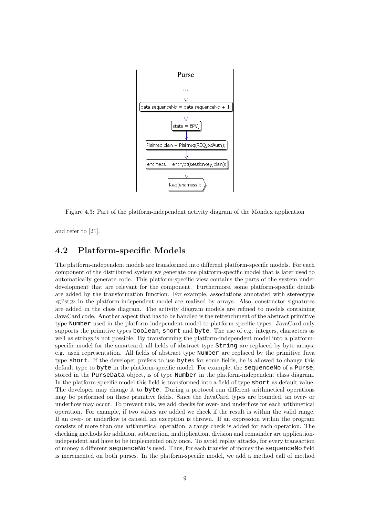

Figure 4.3: Part of the platform-independent activity diagram of the Mondex application

and refer to [21].

#### 4.2 Platform-specific Models

The platform-independent models are transformed into different platform-specific models. For each component of the distributed system we generate one platform-specific model that is later used to automatically generate code. This platform-specific view contains the parts of the system under development that are relevant for the component. Furthermore, some platform-specific details are added by the transformation function. For example, associations annotated with stereotype  $\ll$ list $\gg$  in the platform-independent model are realized by arrays. Also, constructor signatures are added in the class diagram. The activity diagram models are refined to models containing JavaCard code. Another aspect that has to be handled is the retrenchment of the abstract primitive type Number used in the platform-independent model to platform-specific types. JavaCard only supports the primitive types boolean, short and byte. The use of e.g. integers, characters as well as strings is not possible. By transforming the platform-independent model into a platformspecific model for the smartcard, all fields of abstract type String are replaced by byte arrays, e.g. ascii representation. All fields of abstract type Number are replaced by the primitive Java type short. If the developer prefers to use bytes for some fields, he is allowed to change this default type to byte in the platform-specific model. For example, the sequenceNo of a Purse, stored in the PurseData object, is of type Number in the platform-independent class diagram. In the platform-specific model this field is transformed into a field of type short as default value. The developer may change it to byte. During a protocol run different arithmetical operations may be performed on these primitive fields. Since the JavaCard types are bounded, an over- or underflow may occur. To prevent this, we add checks for over- and underflow for each arithmetical operation. For example, if two values are added we check if the result is within the valid range. If an over- or underflow is caused, an exception is thrown. If an expression within the program consists of more than one arithmetical operation, a range check is added for each operation. The checking methods for addition, subtraction, multiplication, division and remainder are applicationindependent and have to be implemented only once. To avoid replay attacks, for every transaction of money a different sequenceNo is used. Thus, for each transfer of money the sequenceNo field is incremented on both purses. In the platform-specific model, we add a method call of method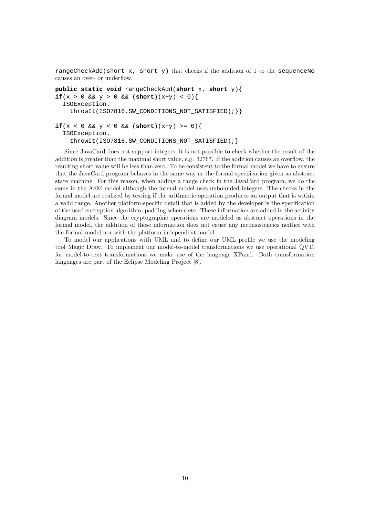rangeCheckAdd(short  $x$ , short y) that checks if the addition of 1 to the sequenceNo causes an over- or underflow.

```
public static void rangeCheckAdd(short x, short y){
if(x > 0 & y > 0 & (short)(x+y) < 0){
  ISOException.
    throwIt(ISO7816.SW_CONDITIONS_NOT_SATISFIED); \}if(x < 0 & y < 0 & ( short)(x+y) >= 0){
  ISOException.
    throwIt(ISO7816.SW_CONDITIONS_NOT_SATISFIED);}
```
Since JavaCard does not support integers, it is not possible to check whether the result of the addition is greater than the maximal short value, e.g. 32767. If the addition causes an overflow, the resulting short value will be less than zero. To be consistent to the formal model we have to ensure that the JavaCard program behaves in the same way as the formal specification given as abstract state machine. For this reason, when adding a range check in the JavaCard program, we do the same in the ASM model although the formal model uses unbounded integers. The checks in the formal model are realized by testing if the arithmetic operation produces an output that is within a valid range. Another platform-specific detail that is added by the developer is the specification of the used encryption algorithm, padding scheme etc. These information are added in the activity diagram models. Since the cryptographic operations are modeled as abstract operations in the formal model, the addition of these information does not cause any inconsistencies neither with the formal model nor with the platform-independent model.

To model our applications with UML and to define our UML profile we use the modeling tool Magic Draw. To implement our model-to-model transformations we use operational QVT, for model-to-text transformations we make use of the language XPand. Both transformation languages are part of the Eclipse Modeling Project [8].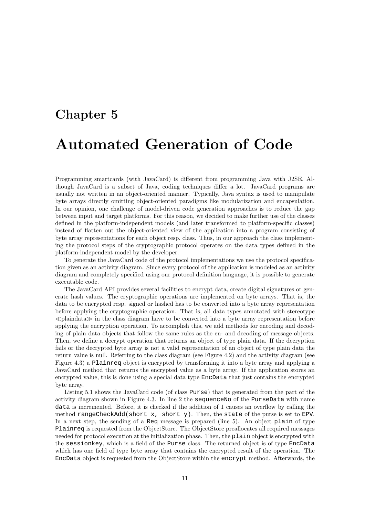# Chapter 5 Automated Generation of Code

Programming smartcards (with JavaCard) is different from programming Java with J2SE. Although JavaCard is a subset of Java, coding techniques differ a lot. JavaCard programs are usually not written in an object-oriented manner. Typically, Java syntax is used to manipulate byte arrays directly omitting object-oriented paradigms like modularization and encapsulation. In our opinion, one challenge of model-driven code generation approaches is to reduce the gap between input and target platforms. For this reason, we decided to make further use of the classes defined in the platform-independent models (and later transformed to platform-specific classes) instead of flatten out the object-oriented view of the application into a program consisting of byte array representations for each object resp. class. Thus, in our approach the class implementing the protocol steps of the cryptographic protocol operates on the data types defined in the platform-independent model by the developer.

To generate the JavaCard code of the protocol implementations we use the protocol specification given as an activity diagram. Since every protocol of the application is modeled as an activity diagram and completely specified using our protocol definition language, it is possible to generate executable code.

The JavaCard API provides several facilities to encrypt data, create digital signatures or generate hash values. The cryptographic operations are implemented on byte arrays. That is, the data to be encrypted resp. signed or hashed has to be converted into a byte array representation before applying the cryptographic operation. That is, all data types annotated with stereotype ≪plaindata≫ in the class diagram have to be converted into a byte array representation before applying the encryption operation. To accomplish this, we add methods for encoding and decoding of plain data objects that follow the same rules as the en- and decoding of message objects. Then, we define a decrypt operation that returns an object of type plain data. If the decryption fails or the decrypted byte array is not a valid representation of an object of type plain data the return value is null. Referring to the class diagram (see Figure 4.2) and the activity diagram (see Figure 4.3) a Plainreq object is encrypted by transforming it into a byte array and applying a JavaCard method that returns the encrypted value as a byte array. If the application stores an encrypted value, this is done using a special data type EncData that just contains the encrypted byte array.

Listing 5.1 shows the JavaCard code (of class Purse) that is generated from the part of the activity diagram shown in Figure 4.3. In line 2 the sequenceNo of the PurseData with name data is incremented. Before, it is checked if the addition of 1 causes an overflow by calling the method rangeCheckAdd(short x, short y). Then, the state of the purse is set to EPV. In a next step, the sending of a Req message is prepared (line 5). An object plain of type Plainreq is requested from the ObjectStore. The ObjectStore preallocates all required messages needed for protocol execution at the initialization phase. Then, the plain object is encrypted with the sessionkey, which is a field of the Purse class. The returned object is of type EncData which has one field of type byte array that contains the encrypted result of the operation. The EncData object is requested from the ObjectStore within the encrypt method. Afterwards, the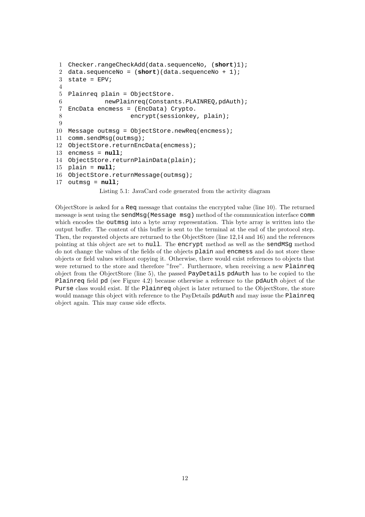```
1 Checker.rangeCheckAdd(data.sequenceNo, (short)1);
2 data.sequenceNo = (short)(data.sequenceNo + 1);
3 state = EPV;
4
5 Plainreq plain = ObjectStore.
6 newPlainreq(Constants.PLAINREQ,pdAuth);
7 EncData encmess = (EncData) Crypto.
8 encrypt(sessionkey, plain);
9
10 Message outmsg = ObjectStore.newReq(encmess);
11 comm.sendMsg(outmsg);
12 ObjectStore.returnEncData(encmess);
13 encmess = null;
14 ObjectStore.returnPlainData(plain);
15 plain = null;
16 ObjectStore.returnMessage(outmsg);
17 outmsg = null;
           Listing 5.1: JavaCard code generated from the activity diagram
```
ObjectStore is asked for a Req message that contains the encrypted value (line 10). The returned message is sent using the sendMsg(Message msg) method of the communication interface comm which encodes the outmsg into a byte array representation. This byte array is written into the output buffer. The content of this buffer is sent to the terminal at the end of the protocol step. Then, the requested objects are returned to the ObjectStore (line 12,14 and 16) and the references pointing at this object are set to null. The encrypt method as well as the sendMSg method do not change the values of the fields of the objects plain and encmess and do not store these objects or field values without copying it. Otherwise, there would exist references to objects that were returned to the store and therefore "free". Furthermore, when receiving a new Plainreq object from the ObjectStore (line 5), the passed PayDetails pdAuth has to be copied to the Plainreq field pd (see Figure 4.2) because otherwise a reference to the pdAuth object of the Purse class would exist. If the Plainreq object is later returned to the ObjectStore, the store would manage this object with reference to the PayDetails pdAuth and may issue the Plainreq object again. This may cause side effects.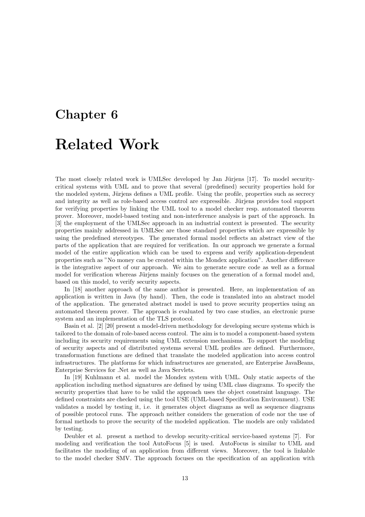# Chapter 6 Related Work

The most closely related work is UMLSec developed by Jan Jürjens  $[17]$ . To model securitycritical systems with UML and to prove that several (predefined) security properties hold for the modeled system, Jürjens defines a UML profile. Using the profile, properties such as secrecy and integrity as well as role-based access control are expressible. Jürjens provides tool support for verifying properties by linking the UML tool to a model checker resp. automated theorem prover. Moreover, model-based testing and non-interference analysis is part of the approach. In [3] the employment of the UMLSec approach in an industrial context is presented. The security properties mainly addressed in UMLSec are those standard properties which are expressible by using the predefined stereotypes. The generated formal model reflects an abstract view of the parts of the application that are required for verification. In our approach we generate a formal model of the entire application which can be used to express and verify application-dependent properties such as "No money can be created within the Mondex application". Another difference is the integrative aspect of our approach. We aim to generate secure code as well as a formal model for verification whereas Jürjens mainly focuses on the generation of a formal model and, based on this model, to verify security aspects.

In [18] another approach of the same author is presented. Here, an implementation of an application is written in Java (by hand). Then, the code is translated into an abstract model of the application. The generated abstract model is used to prove security properties using an automated theorem prover. The approach is evaluated by two case studies, an electronic purse system and an implementation of the TLS protocol.

Basin et al. [2] [20] present a model-driven methodology for developing secure systems which is tailored to the domain of role-based access control. The aim is to model a component-based system including its security requirements using UML extension mechanisms. To support the modeling of security aspects and of distributed systems several UML profiles are defined. Furthermore, transformation functions are defined that translate the modeled application into access control infrastructures. The platforms for which infrastructures are generated, are Enterprise JavaBeans, Enterprise Services for .Net as well as Java Servlets.

In [19] Kuhlmann et al. model the Mondex system with UML. Only static aspects of the application including method signatures are defined by using UML class diagrams. To specify the security properties that have to be valid the approach uses the object constraint language. The defined constraints are checked using the tool USE (UML-based Specification Environment). USE validates a model by testing it, i.e. it generates object diagrams as well as sequence diagrams of possible protocol runs. The approach neither considers the generation of code nor the use of formal methods to prove the security of the modeled application. The models are only validated by testing.

Deubler et al. present a method to develop security-critical service-based systems [7]. For modeling and verification the tool AutoFocus [5] is used. AutoFocus is similar to UML and facilitates the modeling of an application from different views. Moreover, the tool is linkable to the model checker SMV. The approach focuses on the specification of an application with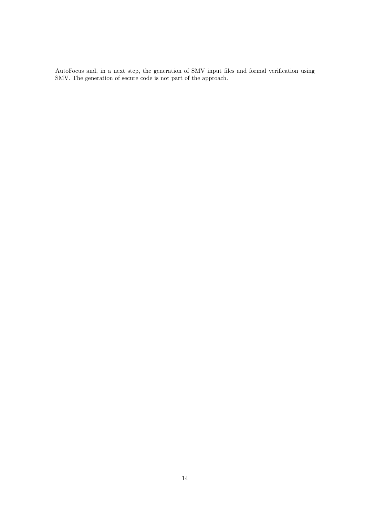AutoFocus and, in a next step, the generation of SMV input files and formal verification using SMV. The generation of secure code is not part of the approach.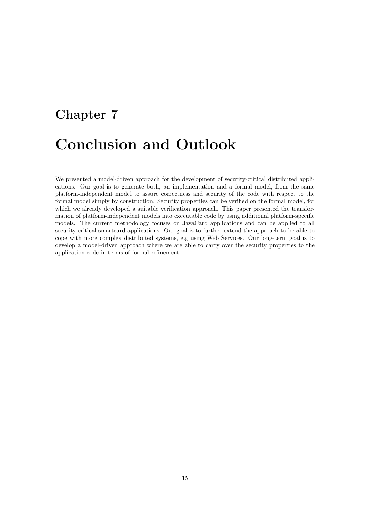# Chapter 7 Conclusion and Outlook

We presented a model-driven approach for the development of security-critical distributed applications. Our goal is to generate both, an implementation and a formal model, from the same platform-independent model to assure correctness and security of the code with respect to the formal model simply by construction. Security properties can be verified on the formal model, for which we already developed a suitable verification approach. This paper presented the transformation of platform-independent models into executable code by using additional platform-specific models. The current methodology focuses on JavaCard applications and can be applied to all security-critical smartcard applications. Our goal is to further extend the approach to be able to cope with more complex distributed systems, e.g using Web Services. Our long-term goal is to develop a model-driven approach where we are able to carry over the security properties to the application code in terms of formal refinement.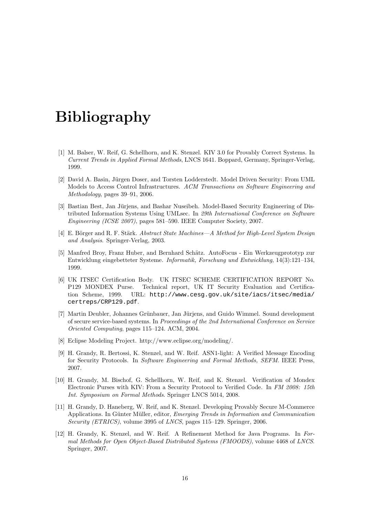## Bibliography

- [1] M. Balser, W. Reif, G. Schellhorn, and K. Stenzel. KIV 3.0 for Provably Correct Systems. In Current Trends in Applied Formal Methods, LNCS 1641. Boppard, Germany, Springer-Verlag, 1999.
- [2] David A. Basin, Jürgen Doser, and Torsten Lodderstedt. Model Driven Security: From UML Models to Access Control Infrastructures. ACM Transactions on Software Engineering and Methodology, pages 39–91, 2006.
- [3] Bastian Best, Jan Jürjens, and Bashar Nuseibeh. Model-Based Security Engineering of Distributed Information Systems Using UMLsec. In 29th International Conference on Software Engineering (ICSE 2007), pages 581–590. IEEE Computer Society, 2007.
- [4] E. Börger and R. F. Stärk. Abstract State Machines—A Method for High-Level System Design and Analysis. Springer-Verlag, 2003.
- [5] Manfred Broy, Franz Huber, and Bernhard Schätz. AutoFocus Ein Werkzeugprototyp zur Entwicklung eingebetteter Systeme. Informatik, Forschung und Entwicklung, 14(3):121–134, 1999.
- [6] UK ITSEC Certification Body. UK ITSEC SCHEME CERTIFICATION REPORT No. P129 MONDEX Purse. Technical report, UK IT Security Evaluation and Certification Scheme, 1999. URL: http://www.cesg.gov.uk/site/iacs/itsec/media/ certreps/CRP129.pdf.
- [7] Martin Deubler, Johannes Grünbauer, Jan Jüriens, and Guido Wimmel. Sound development of secure service-based systems. In Proceedings of the 2nd International Conference on Service Oriented Computing, pages 115–124. ACM, 2004.
- [8] Eclipse Modeling Project. http://www.eclipse.org/modeling/.
- [9] H. Grandy, R. Bertossi, K. Stenzel, and W. Reif. ASN1-light: A Verified Message Encoding for Security Protocols. In Software Engineering and Formal Methods, SEFM. IEEE Press, 2007.
- [10] H. Grandy, M. Bischof, G. Schellhorn, W. Reif, and K. Stenzel. Verification of Mondex Electronic Purses with KIV: From a Security Protocol to Verified Code. In FM 2008: 15th Int. Symposium on Formal Methods. Springer LNCS 5014, 2008.
- [11] H. Grandy, D. Haneberg, W. Reif, and K. Stenzel. Developing Provably Secure M-Commerce Applications. In Günter Müller, editor, Emerging Trends in Information and Communication Security (ETRICS), volume 3995 of LNCS, pages 115–129. Springer, 2006.
- [12] H. Grandy, K. Stenzel, and W. Reif. A Refinement Method for Java Programs. In Formal Methods for Open Object-Based Distributed Systems (FMOODS), volume 4468 of LNCS. Springer, 2007.